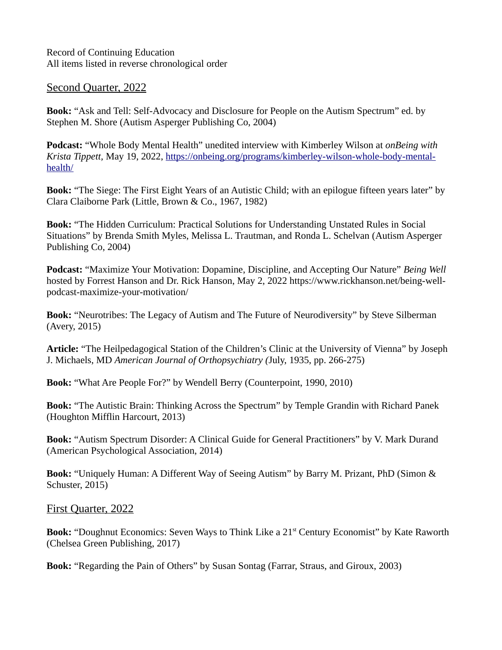Record of Continuing Education All items listed in reverse chronological order

## Second Quarter, 2022

**Book:** "Ask and Tell: Self-Advocacy and Disclosure for People on the Autism Spectrum" ed. by Stephen M. Shore (Autism Asperger Publishing Co, 2004)

**Podcast:** "Whole Body Mental Health" unedited interview with Kimberley Wilson at *onBeing with Krista Tippett,* May 19, 2022, [https://onbeing.org/programs/kimberley-wilson-whole-body-mental](https://onbeing.org/programs/kimberley-wilson-whole-body-mental-health/)[health/](https://onbeing.org/programs/kimberley-wilson-whole-body-mental-health/)

**Book:** "The Siege: The First Eight Years of an Autistic Child; with an epilogue fifteen years later" by Clara Claiborne Park (Little, Brown & Co., 1967, 1982)

**Book:** "The Hidden Curriculum: Practical Solutions for Understanding Unstated Rules in Social Situations" by Brenda Smith Myles, Melissa L. Trautman, and Ronda L. Schelvan (Autism Asperger Publishing Co, 2004)

**Podcast:** "Maximize Your Motivation: Dopamine, Discipline, and Accepting Our Nature" *Being Well* hosted by Forrest Hanson and Dr. Rick Hanson, May 2, 2022 https://www.rickhanson.net/being-wellpodcast-maximize-your-motivation/

**Book:** "Neurotribes: The Legacy of Autism and The Future of Neurodiversity" by Steve Silberman (Avery, 2015)

**Article:** "The Heilpedagogical Station of the Children's Clinic at the University of Vienna" by Joseph J. Michaels, MD *American Journal of Orthopsychiatry (*July, 1935, pp. 266-275)

**Book:** "What Are People For?" by Wendell Berry (Counterpoint, 1990, 2010)

**Book:** "The Autistic Brain: Thinking Across the Spectrum" by Temple Grandin with Richard Panek (Houghton Mifflin Harcourt, 2013)

**Book:** "Autism Spectrum Disorder: A Clinical Guide for General Practitioners" by V. Mark Durand (American Psychological Association, 2014)

**Book:** "Uniquely Human: A Different Way of Seeing Autism" by Barry M. Prizant, PhD (Simon & Schuster, 2015)

First Quarter, 2022

**Book:** "Doughnut Economics: Seven Ways to Think Like a 21<sup>st</sup> Century Economist" by Kate Raworth (Chelsea Green Publishing, 2017)

**Book:** "Regarding the Pain of Others" by Susan Sontag (Farrar, Straus, and Giroux, 2003)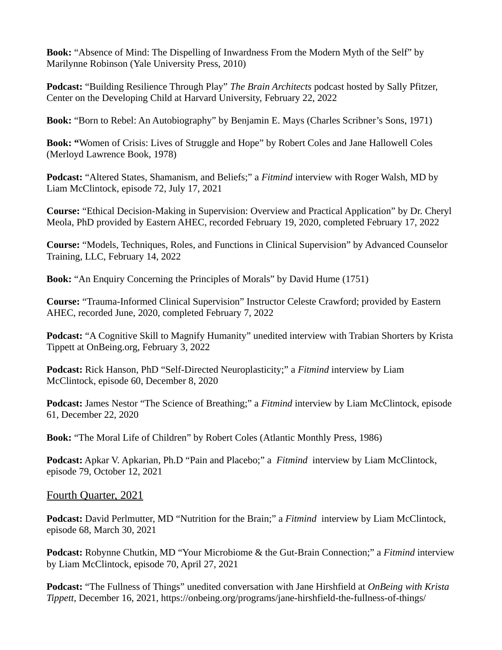**Book:** "Absence of Mind: The Dispelling of Inwardness From the Modern Myth of the Self" by Marilynne Robinson (Yale University Press, 2010)

**Podcast:** "Building Resilience Through Play" *The Brain Architects* podcast hosted by Sally Pfitzer, Center on the Developing Child at Harvard University, February 22, 2022

**Book:** "Born to Rebel: An Autobiography" by Benjamin E. Mays (Charles Scribner's Sons, 1971)

**Book: "**Women of Crisis: Lives of Struggle and Hope" by Robert Coles and Jane Hallowell Coles (Merloyd Lawrence Book, 1978)

**Podcast:** "Altered States, Shamanism, and Beliefs;" a *Fitmind* interview with Roger Walsh, MD by Liam McClintock, episode 72, July 17, 2021

**Course:** "Ethical Decision-Making in Supervision: Overview and Practical Application" by Dr. Cheryl Meola, PhD provided by Eastern AHEC, recorded February 19, 2020, completed February 17, 2022

**Course:** "Models, Techniques, Roles, and Functions in Clinical Supervision" by Advanced Counselor Training, LLC, February 14, 2022

**Book:** "An Enquiry Concerning the Principles of Morals" by David Hume (1751)

**Course:** "Trauma-Informed Clinical Supervision" Instructor Celeste Crawford; provided by Eastern AHEC, recorded June, 2020, completed February 7, 2022

**Podcast:** "A Cognitive Skill to Magnify Humanity" unedited interview with Trabian Shorters by Krista Tippett at OnBeing.org, February 3, 2022

**Podcast:** Rick Hanson, PhD "Self-Directed Neuroplasticity;" a *Fitmind* interview by Liam McClintock, episode 60, December 8, 2020

**Podcast:** James Nestor "The Science of Breathing;" a *Fitmind* interview by Liam McClintock, episode 61, December 22, 2020

**Book:** "The Moral Life of Children" by Robert Coles (Atlantic Monthly Press, 1986)

**Podcast:** Apkar V. Apkarian, Ph.D "Pain and Placebo;" a *Fitmind* interview by Liam McClintock, episode 79, October 12, 2021

Fourth Quarter, 2021

**Podcast:** David Perlmutter, MD "Nutrition for the Brain;" a *Fitmind* interview by Liam McClintock, episode 68, March 30, 2021

**Podcast:** Robynne Chutkin, MD "Your Microbiome & the Gut-Brain Connection;" a *Fitmind* interview by Liam McClintock, episode 70, April 27, 2021

**Podcast:** "The Fullness of Things" unedited conversation with Jane Hirshfield at *OnBeing with Krista Tippett,* December 16, 2021, https://onbeing.org/programs/jane-hirshfield-the-fullness-of-things/